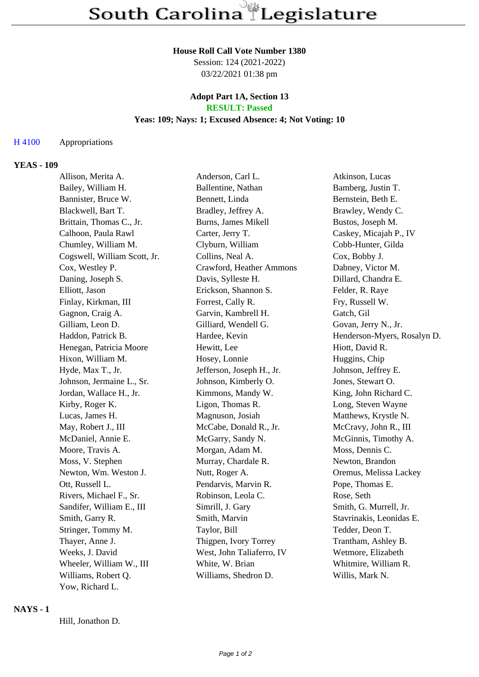#### **House Roll Call Vote Number 1380**

Session: 124 (2021-2022) 03/22/2021 01:38 pm

## **Adopt Part 1A, Section 13 RESULT: Passed**

# **Yeas: 109; Nays: 1; Excused Absence: 4; Not Voting: 10**

# H 4100 Appropriations

### **YEAS - 109**

| Allison, Merita A.           | Anderson, Carl L.         | Atkinson, Lucas             |
|------------------------------|---------------------------|-----------------------------|
| Bailey, William H.           | Ballentine, Nathan        | Bamberg, Justin T.          |
| Bannister, Bruce W.          | Bennett, Linda            | Bernstein, Beth E.          |
| Blackwell, Bart T.           | Bradley, Jeffrey A.       | Brawley, Wendy C.           |
| Brittain, Thomas C., Jr.     | Burns, James Mikell       | Bustos, Joseph M.           |
| Calhoon, Paula Rawl          | Carter, Jerry T.          | Caskey, Micajah P., IV      |
| Chumley, William M.          | Clyburn, William          | Cobb-Hunter, Gilda          |
| Cogswell, William Scott, Jr. | Collins, Neal A.          | Cox, Bobby J.               |
| Cox, Westley P.              | Crawford, Heather Ammons  | Dabney, Victor M.           |
| Daning, Joseph S.            | Davis, Sylleste H.        | Dillard, Chandra E.         |
| Elliott, Jason               | Erickson, Shannon S.      | Felder, R. Raye             |
| Finlay, Kirkman, III         | Forrest, Cally R.         | Fry, Russell W.             |
| Gagnon, Craig A.             | Garvin, Kambrell H.       | Gatch, Gil                  |
| Gilliam, Leon D.             | Gilliard, Wendell G.      | Govan, Jerry N., Jr.        |
| Haddon, Patrick B.           | Hardee, Kevin             | Henderson-Myers, Rosalyn D. |
| Henegan, Patricia Moore      | Hewitt, Lee               | Hiott, David R.             |
| Hixon, William M.            | Hosey, Lonnie             | Huggins, Chip               |
| Hyde, Max T., Jr.            | Jefferson, Joseph H., Jr. | Johnson, Jeffrey E.         |
| Johnson, Jermaine L., Sr.    | Johnson, Kimberly O.      | Jones, Stewart O.           |
| Jordan, Wallace H., Jr.      | Kimmons, Mandy W.         | King, John Richard C.       |
| Kirby, Roger K.              | Ligon, Thomas R.          | Long, Steven Wayne          |
| Lucas, James H.              | Magnuson, Josiah          | Matthews, Krystle N.        |
| May, Robert J., III          | McCabe, Donald R., Jr.    | McCravy, John R., III       |
| McDaniel, Annie E.           | McGarry, Sandy N.         | McGinnis, Timothy A.        |
| Moore, Travis A.             | Morgan, Adam M.           | Moss, Dennis C.             |
| Moss, V. Stephen             | Murray, Chardale R.       | Newton, Brandon             |
| Newton, Wm. Weston J.        | Nutt, Roger A.            | Oremus, Melissa Lackey      |
| Ott, Russell L.              | Pendarvis, Marvin R.      | Pope, Thomas E.             |
| Rivers, Michael F., Sr.      | Robinson, Leola C.        | Rose, Seth                  |
| Sandifer, William E., III    | Simrill, J. Gary          | Smith, G. Murrell, Jr.      |
| Smith, Garry R.              | Smith, Marvin             | Stavrinakis, Leonidas E.    |
| Stringer, Tommy M.           | Taylor, Bill              | Tedder, Deon T.             |
| Thayer, Anne J.              | Thigpen, Ivory Torrey     | Trantham, Ashley B.         |
| Weeks, J. David              | West, John Taliaferro, IV | Wetmore, Elizabeth          |
| Wheeler, William W., III     | White, W. Brian           | Whitmire, William R.        |
| Williams, Robert Q.          | Williams, Shedron D.      | Willis, Mark N.             |
| Yow, Richard L.              |                           |                             |

#### **NAYS - 1**

Hill, Jonathon D.